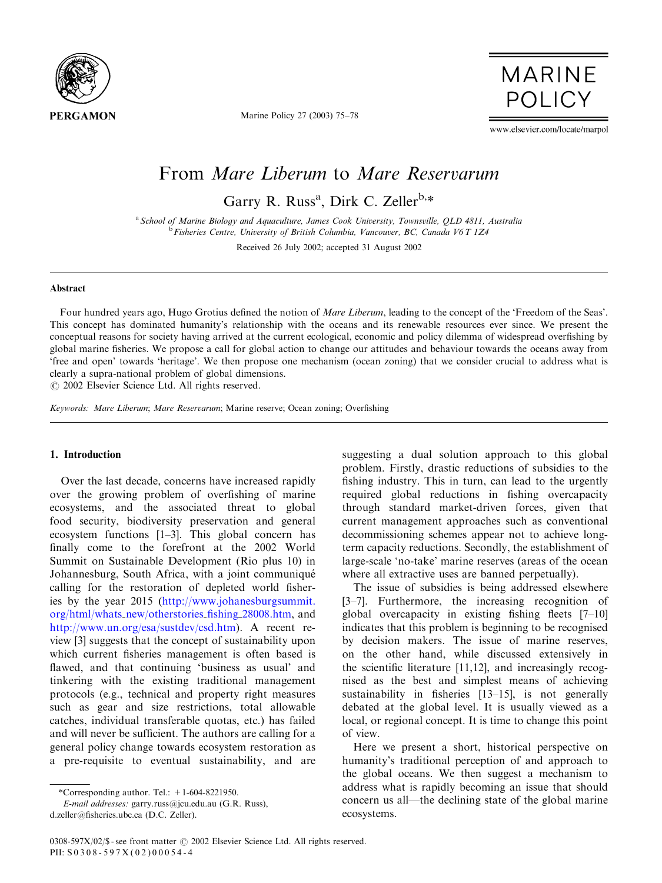

Marine Policy 27 (2003) 75–78



www.elsevier.com/locate/marpol

# From Mare Liberum to Mare Reservarum

Garry R. Russ<sup>a</sup>, Dirk C. Zeller<sup>b,\*</sup>

<sup>a</sup> School of Marine Biology and Aquaculture, James Cook University, Townsville, QLD 4811, Australia b<br>Fisheries Centre, University of British Columbia, Vancouver, BC, Canada V6 T 1Z4

Received 26 July 2002; accepted 31 August 2002

## Abstract

Four hundred years ago, Hugo Grotius defined the notion of Mare Liberum, leading to the concept of the 'Freedom of the Seas'. This concept has dominated humanity's relationship with the oceans and its renewable resources ever since. We present the conceptual reasons for society having arrived at the current ecological, economic and policy dilemma of widespread overfishing by global marine fisheries. We propose a call for global action to change our attitudes and behaviour towards the oceans away from 'free and open' towards 'heritage'. We then propose one mechanism (ocean zoning) that we consider crucial to address what is clearly a supra-national problem of global dimensions.

 $\odot$  2002 Elsevier Science Ltd. All rights reserved.

Keywords: Mare Liberum; Mare Reservarum; Marine reserve; Ocean zoning; Overfishing

# 1. Introduction

Over the last decade, concerns have increased rapidly over the growing problem of overfishing of marine ecosystems, and the associated threat to global food security, biodiversity preservation and general ecosystem functions [1–3]. This global concern has finally come to the forefront at the 2002 World Summit on Sustainable Development (Rio plus 10) in Johannesburg, South Africa, with a joint communiqué calling for the restoration of depleted world fisheries by the year 2015 ([http://www.johanesburgsummit.](http://www.johanesburgsummit.org/html/whats_new/otherstories_fishing_28008.htm) [org/html/whats](http://www.johanesburgsummit.org/html/whats_new/otherstories_fishing_28008.htm) [new/otherstories](http://www.johanesburgsummit.org/html/whats_new/otherstories_fishing_28008.htm) [fishing](http://www.johanesburgsummit.org/html/whats_new/otherstories_fishing_28008.htm) [28008.htm](http://www.johanesburgsummit.org/html/whats_new/otherstories_fishing_28008.htm), and <http://www.un.org/esa/sustdev/csd.htm>). A recent review [3] suggests that the concept of sustainability upon which current fisheries management is often based is flawed, and that continuing 'business as usual' and tinkering with the existing traditional management protocols (e.g., technical and property right measures such as gear and size restrictions, total allowable catches, individual transferable quotas, etc.) has failed and will never be sufficient. The authors are calling for a general policy change towards ecosystem restoration as a pre-requisite to eventual sustainability, and are

E-mail addresses: garry.russ@jcu.edu.au (G.R. Russ),

d.zeller@fisheries.ubc.ca (D.C. Zeller).

suggesting a dual solution approach to this global problem. Firstly, drastic reductions of subsidies to the fishing industry. This in turn, can lead to the urgently required global reductions in fishing overcapacity through standard market-driven forces, given that current management approaches such as conventional decommissioning schemes appear not to achieve longterm capacity reductions. Secondly, the establishment of large-scale 'no-take' marine reserves (areas of the ocean where all extractive uses are banned perpetually).

The issue of subsidies is being addressed elsewhere [3–7]. Furthermore, the increasing recognition of global overcapacity in existing fishing fleets [7–10] indicates that this problem is beginning to be recognised by decision makers. The issue of marine reserves, on the other hand, while discussed extensively in the scientific literature [11,12], and increasingly recognised as the best and simplest means of achieving sustainability in fisheries [13–15], is not generally debated at the global level. It is usually viewed as a local, or regional concept. It is time to change this point of view.

Here we present a short, historical perspective on humanity's traditional perception of and approach to the global oceans. We then suggest a mechanism to address what is rapidly becoming an issue that should concern us all—the declining state of the global marine ecosystems.

<sup>\*</sup>Corresponding author. Tel.:  $+1-604-8221950$ .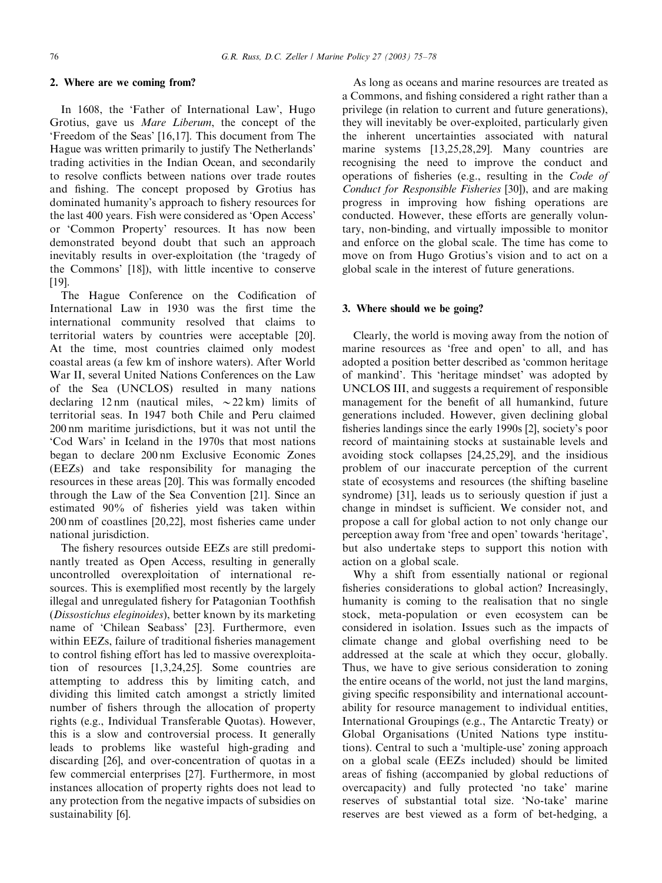#### 2. Where are we coming from?

In 1608, the 'Father of International Law', Hugo Grotius, gave us Mare Liberum, the concept of the 'Freedom of the Seas' [16,17]. This document from The Hague was written primarily to justify The Netherlands' trading activities in the Indian Ocean, and secondarily to resolve conflicts between nations over trade routes and fishing. The concept proposed by Grotius has dominated humanity's approach to fishery resources for the last 400 years. Fish were considered as 'Open Access' or 'Common Property' resources. It has now been demonstrated beyond doubt that such an approach inevitably results in over-exploitation (the 'tragedy of the Commons' [18]), with little incentive to conserve [19].

The Hague Conference on the Codification of International Law in 1930 was the first time the international community resolved that claims to territorial waters by countries were acceptable [20]. At the time, most countries claimed only modest coastal areas (a few km of inshore waters). After World War II, several United Nations Conferences on the Law of the Sea (UNCLOS) resulted in many nations declaring 12 nm (nautical miles,  $\sim$  22 km) limits of territorial seas. In 1947 both Chile and Peru claimed 200 nm maritime jurisdictions, but it was not until the 'Cod Wars' in Iceland in the 1970s that most nations began to declare 200 nm Exclusive Economic Zones (EEZs) and take responsibility for managing the resources in these areas [20]. This was formally encoded through the Law of the Sea Convention [21]. Since an estimated 90% of fisheries yield was taken within 200 nm of coastlines [20,22], most fisheries came under national jurisdiction.

The fishery resources outside EEZs are still predominantly treated as Open Access, resulting in generally uncontrolled overexploitation of international resources. This is exemplified most recently by the largely illegal and unregulated fishery for Patagonian Toothfish (Dissostichus eleginoides), better known by its marketing name of 'Chilean Seabass' [23]. Furthermore, even within EEZs, failure of traditional fisheries management to control fishing effort has led to massive overexploitation of resources [1,3,24,25]. Some countries are attempting to address this by limiting catch, and dividing this limited catch amongst a strictly limited number of fishers through the allocation of property rights (e.g., Individual Transferable Quotas). However, this is a slow and controversial process. It generally leads to problems like wasteful high-grading and discarding [26], and over-concentration of quotas in a few commercial enterprises [27]. Furthermore, in most instances allocation of property rights does not lead to any protection from the negative impacts of subsidies on sustainability [6].

As long as oceans and marine resources are treated as a Commons, and fishing considered a right rather than a privilege (in relation to current and future generations), they will inevitably be over-exploited, particularly given the inherent uncertainties associated with natural marine systems [13,25,28,29]. Many countries are recognising the need to improve the conduct and operations of fisheries (e.g., resulting in the Code of Conduct for Responsible Fisheries [30]), and are making progress in improving how fishing operations are conducted. However, these efforts are generally voluntary, non-binding, and virtually impossible to monitor and enforce on the global scale. The time has come to move on from Hugo Grotius's vision and to act on a global scale in the interest of future generations.

#### 3. Where should we be going?

Clearly, the world is moving away from the notion of marine resources as 'free and open' to all, and has adopted a position better described as 'common heritage of mankind'. This 'heritage mindset' was adopted by UNCLOS III, and suggests a requirement of responsible management for the benefit of all humankind, future generations included. However, given declining global fisheries landings since the early 1990s [2], society's poor record of maintaining stocks at sustainable levels and avoiding stock collapses [24,25,29], and the insidious problem of our inaccurate perception of the current state of ecosystems and resources (the shifting baseline syndrome) [31], leads us to seriously question if just a change in mindset is sufficient. We consider not, and propose a call for global action to not only change our perception away from 'free and open' towards 'heritage', but also undertake steps to support this notion with action on a global scale.

Why a shift from essentially national or regional fisheries considerations to global action? Increasingly, humanity is coming to the realisation that no single stock, meta-population or even ecosystem can be considered in isolation. Issues such as the impacts of climate change and global overfishing need to be addressed at the scale at which they occur, globally. Thus, we have to give serious consideration to zoning the entire oceans of the world, not just the land margins, giving specific responsibility and international accountability for resource management to individual entities, International Groupings (e.g., The Antarctic Treaty) or Global Organisations (United Nations type institutions). Central to such a 'multiple-use' zoning approach on a global scale (EEZs included) should be limited areas of fishing (accompanied by global reductions of overcapacity) and fully protected 'no take' marine reserves of substantial total size. 'No-take' marine reserves are best viewed as a form of bet-hedging, a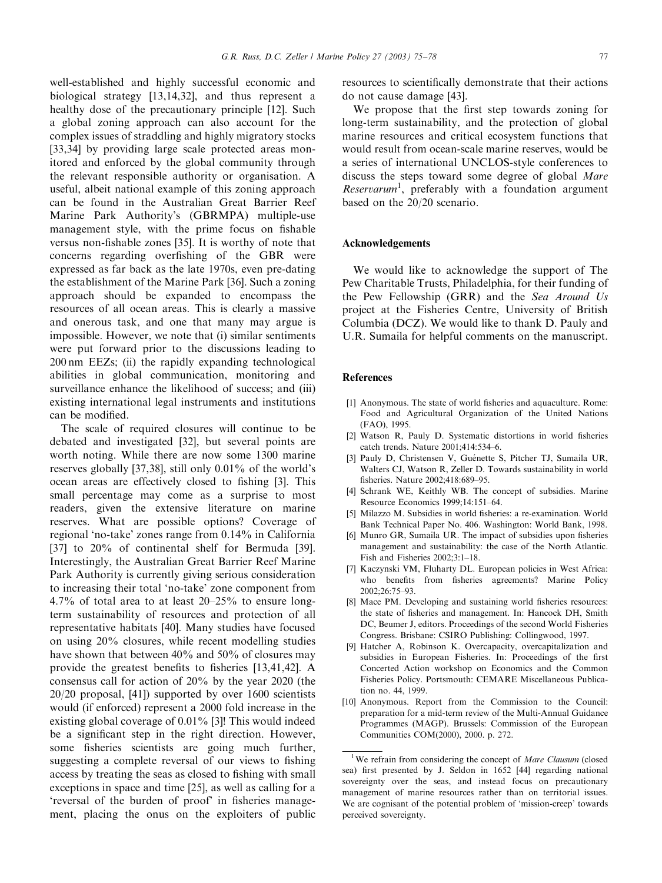well-established and highly successful economic and biological strategy [13,14,32], and thus represent a healthy dose of the precautionary principle [12]. Such a global zoning approach can also account for the complex issues of straddling and highly migratory stocks [33,34] by providing large scale protected areas monitored and enforced by the global community through the relevant responsible authority or organisation. A useful, albeit national example of this zoning approach can be found in the Australian Great Barrier Reef Marine Park Authority's (GBRMPA) multiple-use management style, with the prime focus on fishable versus non-fishable zones [35]. It is worthy of note that concerns regarding overfishing of the GBR were expressed as far back as the late 1970s, even pre-dating the establishment of the Marine Park [36]. Such a zoning approach should be expanded to encompass the resources of all ocean areas. This is clearly a massive and onerous task, and one that many may argue is impossible. However, we note that (i) similar sentiments were put forward prior to the discussions leading to 200 nm EEZs; (ii) the rapidly expanding technological abilities in global communication, monitoring and surveillance enhance the likelihood of success; and (iii) existing international legal instruments and institutions can be modified.

The scale of required closures will continue to be debated and investigated [32], but several points are worth noting. While there are now some 1300 marine reserves globally [37,38], still only 0.01% of the world's ocean areas are effectively closed to fishing [3]. This small percentage may come as a surprise to most readers, given the extensive literature on marine reserves. What are possible options? Coverage of regional 'no-take' zones range from 0.14% in California [37] to 20% of continental shelf for Bermuda [39]. Interestingly, the Australian Great Barrier Reef Marine Park Authority is currently giving serious consideration to increasing their total 'no-take' zone component from 4.7% of total area to at least 20–25% to ensure longterm sustainability of resources and protection of all representative habitats [40]. Many studies have focused on using 20% closures, while recent modelling studies have shown that between 40% and 50% of closures may provide the greatest benefits to fisheries [13,41,42]. A consensus call for action of 20% by the year 2020 (the 20/20 proposal, [41]) supported by over 1600 scientists would (if enforced) represent a 2000 fold increase in the existing global coverage of 0.01% [3]! This would indeed be a significant step in the right direction. However, some fisheries scientists are going much further, suggesting a complete reversal of our views to fishing access by treating the seas as closed to fishing with small exceptions in space and time [25], as well as calling for a 'reversal of the burden of proof' in fisheries management, placing the onus on the exploiters of public resources to scientifically demonstrate that their actions do not cause damage [43].

We propose that the first step towards zoning for long-term sustainability, and the protection of global marine resources and critical ecosystem functions that would result from ocean-scale marine reserves, would be a series of international UNCLOS-style conferences to discuss the steps toward some degree of global Mare Reservarum<sup>1</sup>, preferably with a foundation argument based on the 20/20 scenario.

### Acknowledgements

We would like to acknowledge the support of The Pew Charitable Trusts, Philadelphia, for their funding of the Pew Fellowship (GRR) and the Sea Around Us project at the Fisheries Centre, University of British Columbia (DCZ). We would like to thank D. Pauly and U.R. Sumaila for helpful comments on the manuscript.

#### References

- [1] Anonymous. The state of world fisheries and aquaculture. Rome: Food and Agricultural Organization of the United Nations (FAO), 1995.
- [2] Watson R, Pauly D. Systematic distortions in world fisheries catch trends. Nature 2001;414:534–6.
- [3] Pauly D, Christensen V, Guénette S, Pitcher TJ, Sumaila UR, Walters CJ, Watson R, Zeller D. Towards sustainability in world fisheries. Nature 2002;418:689–95.
- [4] Schrank WE, Keithly WB. The concept of subsidies. Marine Resource Economics 1999;14:151–64.
- [5] Milazzo M. Subsidies in world fisheries: a re-examination. World Bank Technical Paper No. 406. Washington: World Bank, 1998.
- [6] Munro GR, Sumaila UR. The impact of subsidies upon fisheries management and sustainability: the case of the North Atlantic. Fish and Fisheries 2002;3:1–18.
- [7] Kaczynski VM, Fluharty DL. European policies in West Africa: who benefits from fisheries agreements? Marine Policy 2002;26:75–93.
- [8] Mace PM. Developing and sustaining world fisheries resources: the state of fisheries and management. In: Hancock DH, Smith DC, Beumer J, editors. Proceedings of the second World Fisheries Congress. Brisbane: CSIRO Publishing: Collingwood, 1997.
- [9] Hatcher A, Robinson K. Overcapacity, overcapitalization and subsidies in European Fisheries. In: Proceedings of the first Concerted Action workshop on Economics and the Common Fisheries Policy. Portsmouth: CEMARE Miscellaneous Publication no. 44, 1999.
- [10] Anonymous. Report from the Commission to the Council: preparation for a mid-term review of the Multi-Annual Guidance Programmes (MAGP). Brussels: Commission of the European Communities COM(2000), 2000. p. 272.

<sup>&</sup>lt;sup>1</sup>We refrain from considering the concept of Mare Clausum (closed sea) first presented by J. Seldon in 1652 [44] regarding national sovereignty over the seas, and instead focus on precautionary management of marine resources rather than on territorial issues. We are cognisant of the potential problem of 'mission-creep' towards perceived sovereignty.